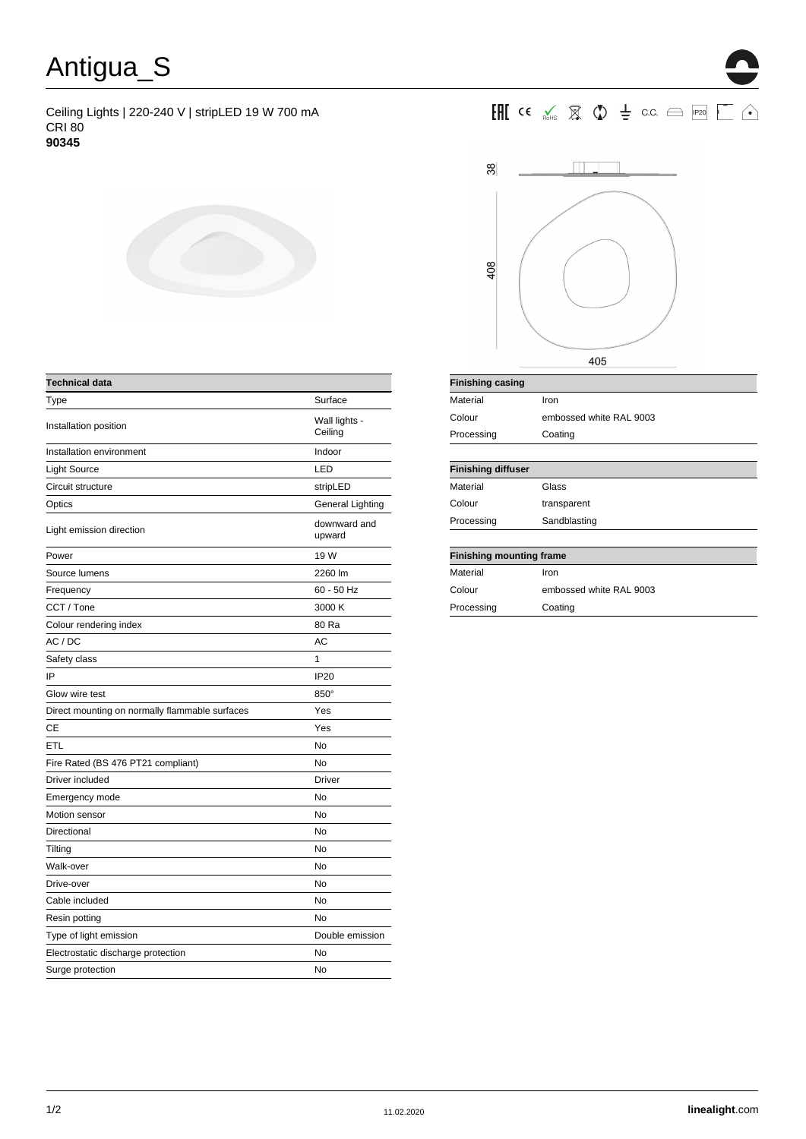## Antigua\_S

Ceiling Lights | 220-240 V | stripLED 19 W 700 mA CRI 80 **90345**



| <b>Technical data</b>                          |                          |
|------------------------------------------------|--------------------------|
| Type                                           | Surface                  |
| Installation position                          | Wall lights -<br>Ceiling |
| Installation environment                       | Indoor                   |
| Light Source                                   | LED                      |
| Circuit structure                              | stripLED                 |
| Optics                                         | General Lighting         |
| Light emission direction                       | downward and<br>upward   |
| Power                                          | 19 W                     |
| Source lumens                                  | 2260 lm                  |
| Frequency                                      | 60 - 50 Hz               |
| CCT / Tone                                     | 3000 K                   |
| Colour rendering index                         | 80 Ra                    |
| AC / DC                                        | AC                       |
| Safety class                                   | 1                        |
| IP                                             | <b>IP20</b>              |
| Glow wire test                                 | 850°                     |
| Direct mounting on normally flammable surfaces | Yes                      |
| CЕ                                             | Yes                      |
| ETL                                            | No                       |
| Fire Rated (BS 476 PT21 compliant)             | No                       |
| Driver included                                | <b>Driver</b>            |
| Emergency mode                                 | No                       |
| Motion sensor                                  | No                       |
| Directional                                    | No                       |
| Tilting                                        | No                       |
| Walk-over                                      | No                       |
| Drive-over                                     | No                       |
| Cable included                                 | No                       |
| Resin potting                                  | No                       |
| Type of light emission                         | Double emission          |
| Electrostatic discharge protection             | No                       |
| Surge protection                               | No                       |





| <b>Finishing casing</b>         |                         |  |  |
|---------------------------------|-------------------------|--|--|
| Material                        | Iron                    |  |  |
| Colour                          | embossed white RAL 9003 |  |  |
| Processing                      | Coating                 |  |  |
|                                 |                         |  |  |
| <b>Finishing diffuser</b>       |                         |  |  |
| Material                        | Glass                   |  |  |
| Colour                          | transparent             |  |  |
| Processing                      | Sandblasting            |  |  |
|                                 |                         |  |  |
| <b>Finishing mounting frame</b> |                         |  |  |
| Material                        | Iron                    |  |  |
| Colour                          | embossed white RAL 9003 |  |  |
| Processing                      | Coating                 |  |  |